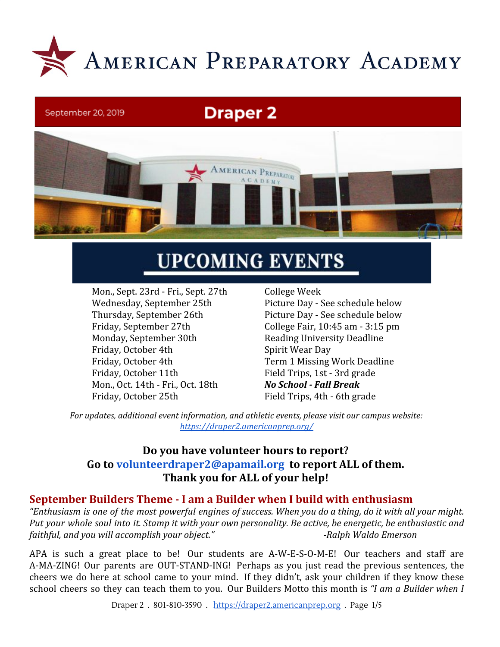

## September 20, 2019

# **Draper 2**



# **UPCOMING EVENTS**

Mon., Sept. 23rd - Fri., Sept. 27th College Week Friday, September 27th College Fair, 10:45 am - 3:15 pm Monday, September 30th Reading University Deadline Friday, October 4th Spirit Wear Day Friday, October 4th Term 1 Missing Work Deadline Friday, October 11th Field Trips, 1st - 3rd grade Mon., Oct. 14th - Fri., Oct. 18th *No School - Fall Break* Friday, October 25th Field Trips, 4th - 6th grade

Wednesday, September 25th Picture Day - See schedule below Thursday, September 26th Picture Day - See schedule below

*For updates, additional event information, and athletic events, please visit our campus website: <https://draper2.americanprep.org/>*

# **Do you have volunteer hours to report? Go to [volunteerdraper2@apamail.org](mailto:volunteerdraper2@apamail.org) [t](mailto:volunteerdraper2@apamail.org)o report ALL of them. Thank you for ALL of your help!**

# **September Builders Theme - I am a Builder when I build with enthusiasm**

"Enthusiasm is one of the most powerful engines of success. When you do a thing, do it with all your might. Put your whole soul into it. Stamp it with your own personality. Be active, be energetic, be enthusiastic and *faithful, and you will accomplish your object."* The setting of the *Ralph Waldo Emerson* 

APA is such a great place to be! Our students are A-W-E-S-O-M-E! Our teachers and staff are A-MA-ZING! Our parents are OUT-STAND-ING! Perhaps as you just read the previous sentences, the cheers we do here at school came to your mind. If they didn't, ask your children if they know these school cheers so they can teach them to you. Our Builders Motto this month is *"I am a Builder when I*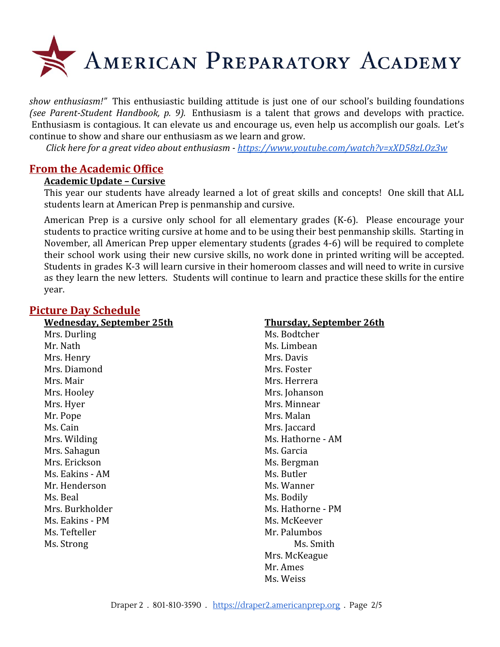

*show enthusiasm!"* This enthusiastic building attitude is just one of our school's building foundations *(see Parent-Student Handbook, p. 9).* Enthusiasm is a talent that grows and develops with practice. Enthusiasm is contagious. It can elevate us and encourage us, even help us accomplish our goals. Let's continue to show and share our enthusiasm as we learn and grow.

*Click here for a great video about enthusiasm - <https://www.youtube.com/watch?v=xXD58zLOz3w>*

#### **From the Academic Office**

#### **Academic Update – Cursive**

This year our students have already learned a lot of great skills and concepts! One skill that ALL students learn at American Prep is penmanship and cursive.

American Prep is a cursive only school for all elementary grades (K-6). Please encourage your students to practice writing cursive at home and to be using their best penmanship skills. Starting in November, all American Prep upper elementary students (grades 4-6) will be required to complete their school work using their new cursive skills, no work done in printed writing will be accepted. Students in grades K-3 will learn cursive in their homeroom classes and will need to write in cursive as they learn the new letters. Students will continue to learn and practice these skills for the entire year.

# **Picture Day Schedule**

| <u>Wednesday, September 25th</u> |
|----------------------------------|
| Mrs. Durling                     |
| Mr. Nath                         |
| Mrs. Henry                       |
| Mrs. Diamond                     |
| Mrs. Mair                        |
| Mrs. Hooley                      |
| Mrs. Hyer                        |
| Mr. Pope                         |

Ms. Cain **Mrs.** Cain Mrs. Jaccard Mrs. Sahagun Mrs. Garcia Mrs. Erickson Mrs. Bergman Ms. Eakins - AM Ms. Butler Mr. Henderson Mr. Wanner Ms. Beal Ms. Bodily Ms. Eakins - PM Ms. McKeever Ms. Tefteller Mr. Palumbos

#### **Wednesday, September 25th Thursday, September 26th**

Ms. Bodtcher Ms. Limbean Mrs. Davis Mrs. Foster Mrs. Herrera Mrs. Johanson Mrs. Minnear Mrs. Malan Mrs. Wilding Ms. Hathorne - AM Mrs. Burkholder Ms. Hathorne - PM Ms. Strong Ms. Smith Mrs. McKeague Mr. Ames Ms. Weiss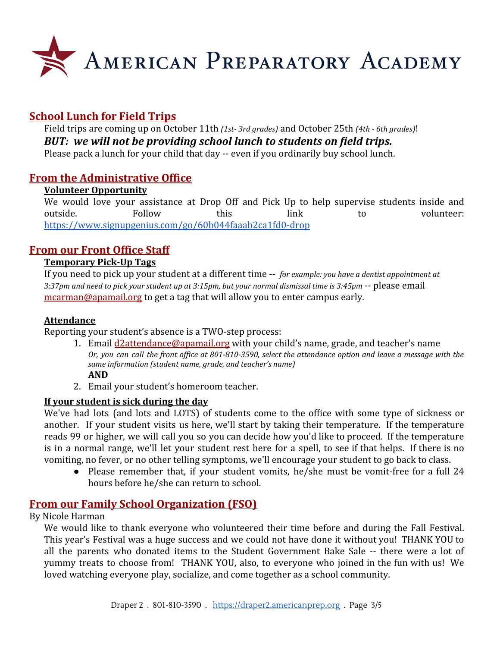

# **School Lunch for Field Trips**

Field trips are coming up on October 11th *(1st- 3rd grades)* and October 25th *(4th - 6th grades)*! *BUT: we will not be providing school lunch to students on field trips.*

Please pack a lunch for your child that day -- even if you ordinarily buy school lunch.

# **From the Administrative Office**

#### **Volunteer Opportunity**

We would love your assistance at Drop Off and Pick Up to help supervise students inside and outside. Follow this link to volunteer: <https://www.signupgenius.com/go/60b044faaab2ca1fd0-drop>

# **From our Front Office Staff**

#### **Temporary Pick-Up Tags**

If you need to pick up your student at a different time -- *for example: you have a dentist appointment at* 3:37pm and need to pick your student up at 3:15pm, but your normal dismissal time is 3:45pm -- please email [mcarman@apamail.org](mailto:mcarman@apamail.org) to get a tag that will allow you to enter campus early.

#### **Attendance**

Reporting your student's absence is a TWO-step process:

- 1. Email [d2attendance@apamail.org](mailto:d2attendance@apamail.org) with your child's name, grade, and teacher's name Or, you can call the front office at 801-810-3590, select the attendance option and leave a message with the *same information (student name, grade, and teacher's name)* **AND**
- 2. Email your student's homeroom teacher.

#### **If your student is sick during the day**

We've had lots (and lots and LOTS) of students come to the office with some type of sickness or another. If your student visits us here, we'll start by taking their temperature. If the temperature reads 99 or higher, we will call you so you can decide how you'd like to proceed. If the temperature is in a normal range, we'll let your student rest here for a spell, to see if that helps. If there is no vomiting, no fever, or no other telling symptoms, we'll encourage your student to go back to class.

● Please remember that, if your student vomits, he/she must be vomit-free for a full 24 hours before he/she can return to school.

# **From our Family School Organization (FSO)**

By Nicole Harman

We would like to thank everyone who volunteered their time before and during the Fall Festival. This year's Festival was a huge success and we could not have done it without you! THANK YOU to all the parents who donated items to the Student Government Bake Sale -- there were a lot of yummy treats to choose from! THANK YOU, also, to everyone who joined in the fun with us! We loved watching everyone play, socialize, and come together as a school community.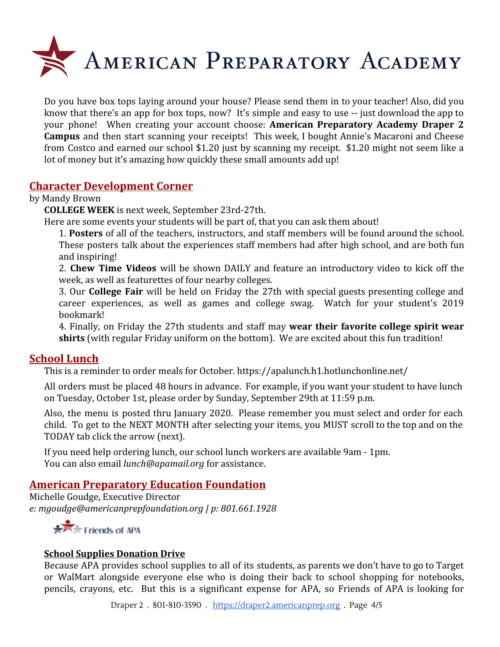

Do you have box tops laying around your house? Please send them in to your teacher! Also, did you know that there's an app for box tops, now? It's simple and easy to use -- just download the app to your phone! When creating your account choose: **American Preparatory Academy Draper 2 Campus** and then start scanning your receipts! This week, I bought Annie's Macaroni and Cheese from Costco and earned our school \$1.20 just by scanning my receipt. \$1.20 might not seem like a lot of money but it's amazing how quickly these small amounts add up!

#### **Character Development Corner**

#### by Mandy Brown

**COLLEGE WEEK** is next week, September 23rd-27th.

Here are some events your students will be part of, that you can ask them about!

1. **Posters** of all of the teachers, instructors, and staff members will be found around the school. These posters talk about the experiences staff members had after high school, and are both fun and inspiring!

2. **Chew Time Videos** will be shown DAILY and feature an introductory video to kick off the week, as well as featurettes of four nearby colleges.

3. Our **College Fair** will be held on Friday the 27th with special guests presenting college and career experiences, as well as games and college swag. Watch for your student's 2019 bookmark!

4. Finally, on Friday the 27th students and staff may **wear their favorite college spirit wear shirts** (with regular Friday uniform on the bottom). We are excited about this fun tradition!

## **School Lunch**

This is a reminder to order meals for October.<https://apalunch.h1.hotlunchonline.net/>

All orders must be placed 48 hours in advance. For example, if you want your student to have lunch on Tuesday, October 1st, please order by Sunday, September 29th at 11:59 p.m.

Also, the menu is posted thru January 2020. Please remember you must select and order for each child. To get to the NEXT MONTH after selecting your items, you MUST scroll to the top and on the TODAY tab click the arrow (next).

If you need help ordering lunch, our school lunch workers are available 9am - 1pm. You can also email *lunch@apamail.org* for assistance.

## **American Preparatory Education Foundation**

Michelle Goudge, Executive Director *e: mgoudge@americanprepfoundation.org | p: 801.661.1928*



#### **School Supplies Donation Drive**

Because APA provides school supplies to all of its students, as parents we don't have to go to Target or WalMart alongside everyone else who is doing their back to school shopping for notebooks, pencils, crayons, etc. But this is a significant expense for APA, so Friends of APA is looking for